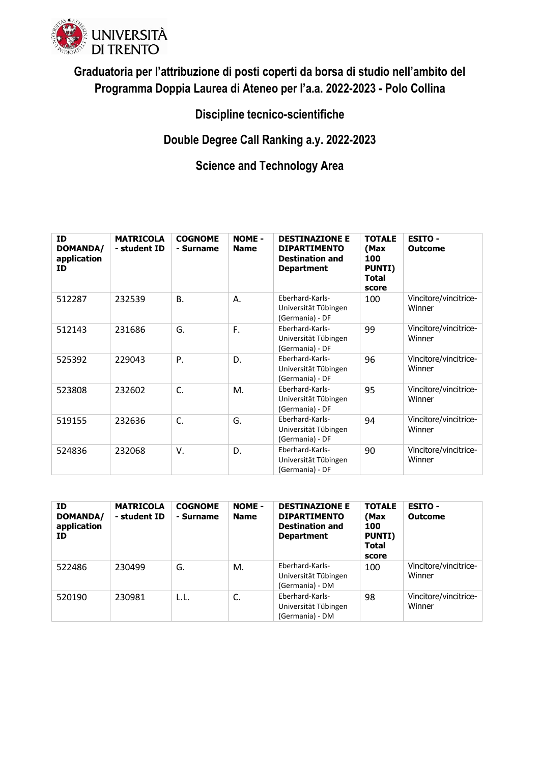

## **Graduatoria per l'attribuzione di posti coperti da borsa di studio nell'ambito del Programma Doppia Laurea di Ateneo per l'a.a. 2022-2023 - Polo Collina**

**Discipline tecnico-scientifiche**

## **Double Degree Call Ranking a.y. 2022-2023**

## **Science and Technology Area**

| ID<br>DOMANDA/<br>application<br>ID | <b>MATRICOLA</b><br>- student ID | <b>COGNOME</b><br>- Surname | <b>NOME -</b><br><b>Name</b> | <b>DESTINAZIONE E</b><br><b>DIPARTIMENTO</b><br><b>Destination and</b><br><b>Department</b> | <b>TOTALE</b><br>(Max<br>100<br><b>PUNTI)</b><br><b>Total</b><br>score | <b>ESITO -</b><br><b>Outcome</b> |
|-------------------------------------|----------------------------------|-----------------------------|------------------------------|---------------------------------------------------------------------------------------------|------------------------------------------------------------------------|----------------------------------|
| 512287                              | 232539                           | <b>B.</b>                   | А.                           | Eberhard-Karls-<br>Universität Tübingen<br>(Germania) - DF                                  | 100                                                                    | Vincitore/vincitrice-<br>Winner  |
| 512143                              | 231686                           | G.                          | F.                           | Fberhard-Karls-<br>Universität Tübingen<br>(Germania) - DF                                  | 99                                                                     | Vincitore/vincitrice-<br>Winner  |
| 525392                              | 229043                           | P.                          | D.                           | Eberhard-Karls-<br>Universität Tübingen<br>(Germania) - DF                                  | 96                                                                     | Vincitore/vincitrice-<br>Winner  |
| 523808                              | 232602                           | C.                          | М.                           | Eberhard-Karls-<br>Universität Tübingen<br>(Germania) - DF                                  | 95                                                                     | Vincitore/vincitrice-<br>Winner  |
| 519155                              | 232636                           | C.                          | G.                           | Eberhard-Karls-<br>Universität Tübingen<br>(Germania) - DF                                  | 94                                                                     | Vincitore/vincitrice-<br>Winner  |
| 524836                              | 232068                           | V.                          | D.                           | Eberhard-Karls-<br>Universität Tübingen<br>(Germania) - DF                                  | 90                                                                     | Vincitore/vincitrice-<br>Winner  |

| ID<br>DOMANDA/<br>application<br>ID | <b>MATRICOLA</b><br>- student ID | <b>COGNOME</b><br>- Surname | <b>NOME -</b><br><b>Name</b> | <b>DESTINAZIONE E</b><br><b>DIPARTIMENTO</b><br><b>Destination and</b><br><b>Department</b> | <b>TOTALE</b><br>(Max<br>100<br>PUNTI)<br><b>Total</b><br>score | <b>ESITO -</b><br><b>Outcome</b> |
|-------------------------------------|----------------------------------|-----------------------------|------------------------------|---------------------------------------------------------------------------------------------|-----------------------------------------------------------------|----------------------------------|
| 522486                              | 230499                           | G.                          | М.                           | Eberhard-Karls-<br>Universität Tübingen<br>(Germania) - DM                                  | 100                                                             | Vincitore/vincitrice-<br>Winner  |
| 520190                              | 230981                           | L.L.                        | C.                           | Eberhard-Karls-<br>Universität Tübingen<br>(Germania) - DM                                  | 98                                                              | Vincitore/vincitrice-<br>Winner  |